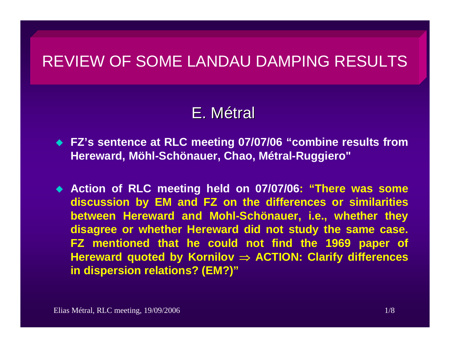# REVIEW OF SOME LANDAU DAMPING RESULTS

# E. Métral

- ◆ FZ's sentence at RLC meeting 07/07/06 "combine results from **Hereward, Möhl-Schönauer, Chao, Métral-Ruggiero"**
- **Action of RLC meeting held on 07/07/06: "There was some discussion by EM and FZ on the differences or similarities between Hereward and Mohl-Schönauer, i.e., whether they disagree or whether Hereward did not study the same case. FZ mentioned that he could not find the 1969 paper of Hereward quoted by Kornilov** <sup>⇒</sup> **ACTION: Clarify differences in dispersion relations? (EM?)"**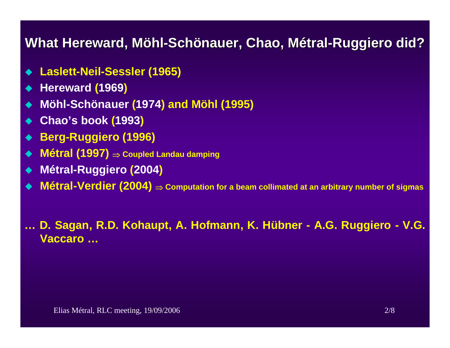#### **What Hereward, Möhl-Schönauer, Chao, Métral-Ruggiero did?**

- **Laslett-Neil-Sessler (1965)**
- ◆ Hereward (1969)
- **Möhl-Schönauer (1974) and Möhl (1995)**
- **Chao's book (1993)**
- **Berg-Ruggiero (1996)**
- **Métral (1997)** <sup>⇒</sup> **Coupled Landau damping**
- ◆ Métral-Ruggiero (2004)
- **Métral-Verdier (2004)** <sup>⇒</sup> **Computation for a beam collimated at an arbitrary number of sigmas**

**… D. Sagan, R.D. Kohaupt, A. Hofmann, K. Hübner - A.G. Ruggiero - V.G. Vaccaro …**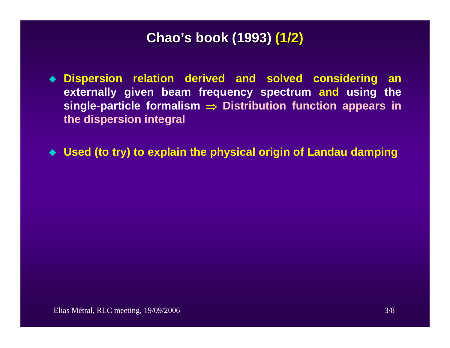## **Chao's book (1993) book (1993) (1/2)**

- **Dispersion relation derived and solved considering an externally given beam frequency spectrum and using the single-particle formalism** <sup>⇒</sup> **Distribution function appears in the dispersion integral**
- **Used (to try) to explain the physical origin of Landau damping**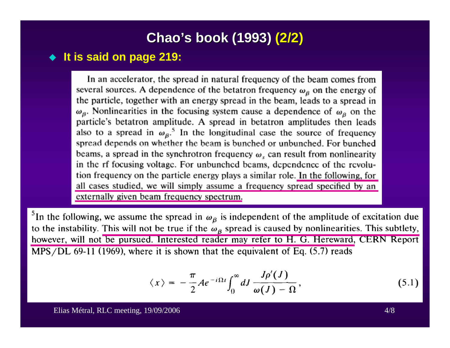## **Chao's book (1993) book (1993) (2/2)**

#### **It is said on page 219:**

In an accelerator, the spread in natural frequency of the beam comes from several sources. A dependence of the betatron frequency  $\omega_B$  on the energy of the particle, together with an energy spread in the beam, leads to a spread in  $\omega_{\beta}$ . Nonlinearities in the focusing system cause a dependence of  $\omega_{\beta}$  on the particle's betatron amplitude. A spread in betatron amplitudes then leads also to a spread in  $\omega_{\beta}$ <sup>5</sup>. In the longitudinal case the source of frequency spread depends on whether the beam is bunched or unbunched. For bunched beams, a spread in the synchrotron frequency  $\omega_s$  can result from nonlinearity in the rf focusing voltage. For unbunched beams, dependence of the revolution frequency on the particle energy plays a similar role. In the following, for all cases studied, we will simply assume a frequency spread specified by an externally given beam frequency spectrum.

<sup>5</sup>In the following, we assume the spread in  $\omega_{\beta}$  is independent of the amplitude of excitation due to the instability. This will not be true if the  $\omega_{\beta}$  spread is caused by nonlinearities. This subtlety, however, will not be pursued. Interested reader may refer to H. G. Hereward, CERN Report  $MPS/DL$  69-11 (1969), where it is shown that the equivalent of Eq. (5.7) reads

$$
\langle x \rangle = -\frac{\pi}{2} A e^{-i\Omega t} \int_0^\infty dJ \, \frac{J \rho'(J)}{\omega(J) - \Omega}, \tag{5.1}
$$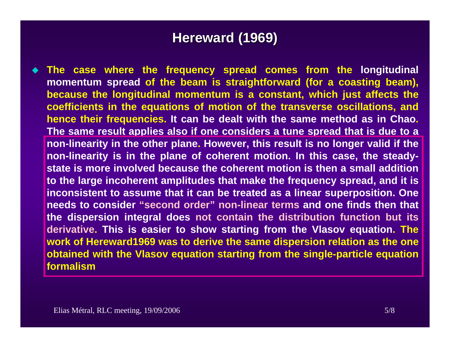### **Hereward Hereward (1969)**

 $\blacklozenge$  **The case where the frequency spread comes from the longitudinal momentum spread of the beam is straightforward (for a coasting beam), because the longitudinal momentum is a constant, which just affects the coefficients in the equations of motion of the transverse oscillations, and hence their frequencies. It can be dealt with the same method as in Chao. The same result applies also if one considers a tune spread that is due to a non-linearity in the other plane. However, this result is no longer valid if the non-linearity is in the plane of coherent motion. In this case, the steadystate is more involved because the coherent motion is then a small addition to the large incoherent amplitudes that make the frequency spread, and it is inconsistent to assume that it can be treated as a linear superposition. One needs to consider "second order" non-linear terms and one finds then that the dispersion integral does not contain the distribution function but its derivative. This is easier to show starting from the Vlasov equation. The work of Hereward1969 was to derive the same dispersion relation as the one obtained with the Vlasov equation starting from the single-particle equation formalism**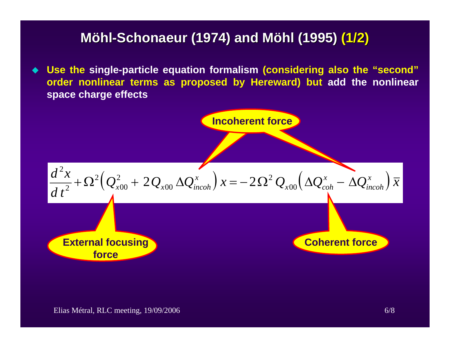### **Möhl-Schonaeur (1974) and Möhl (1995) (1/2)**

 **Use the single-particle equation formalism (considering also the "second" order nonlinear terms as proposed by Hereward) but add the nonlinear space charge effects**

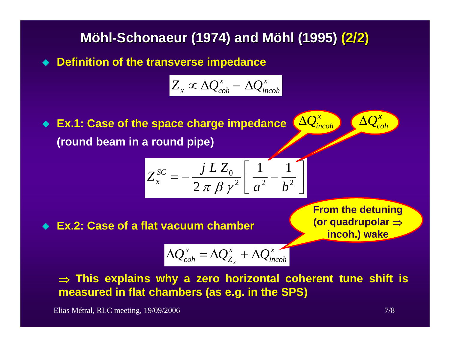

Elias Métral, RLC meeting, 19/09/2006 7/8